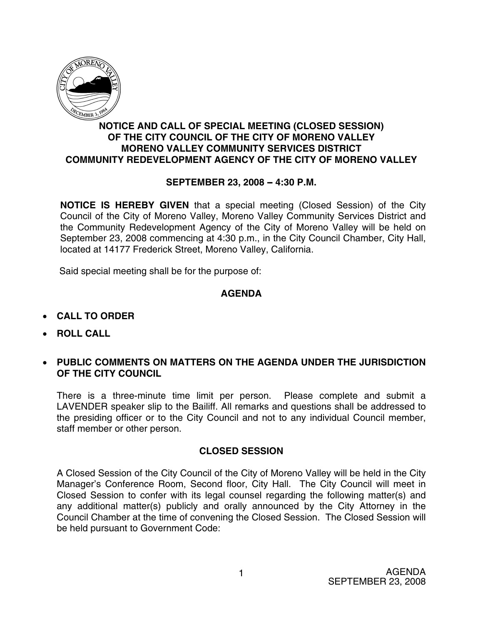

## **NOTICE AND CALL OF SPECIAL MEETING (CLOSED SESSION) OF THE CITY COUNCIL OF THE CITY OF MORENO VALLEY MORENO VALLEY COMMUNITY SERVICES DISTRICT COMMUNITY REDEVELOPMENT AGENCY OF THE CITY OF MORENO VALLEY**

## **SEPTEMBER 23, 2008 - 4:30 P.M.**

**NOTICE IS HEREBY GIVEN** that a special meeting (Closed Session) of the City Council of the City of Moreno Valley, Moreno Valley Community Services District and the Community Redevelopment Agency of the City of Moreno Valley will be held on September 23, 2008 commencing at 4:30 p.m., in the City Council Chamber, City Hall, located at 14177 Frederick Street, Moreno Valley, California.

Said special meeting shall be for the purpose of:

## **AGENDA**

- **CALL TO ORDER**
- **ROLL CALL**
- **PUBLIC COMMENTS ON MATTERS ON THE AGENDA UNDER THE JURISDICTION OF THE CITY COUNCIL**

There is a three-minute time limit per person. Please complete and submit a LAVENDER speaker slip to the Bailiff. All remarks and questions shall be addressed to the presiding officer or to the City Council and not to any individual Council member, staff member or other person.

## **CLOSED SESSION**

A Closed Session of the City Council of the City of Moreno Valley will be held in the City Manager's Conference Room, Second floor, City Hall. The City Council will meet in Closed Session to confer with its legal counsel regarding the following matter(s) and any additional matter(s) publicly and orally announced by the City Attorney in the Council Chamber at the time of convening the Closed Session. The Closed Session will be held pursuant to Government Code: